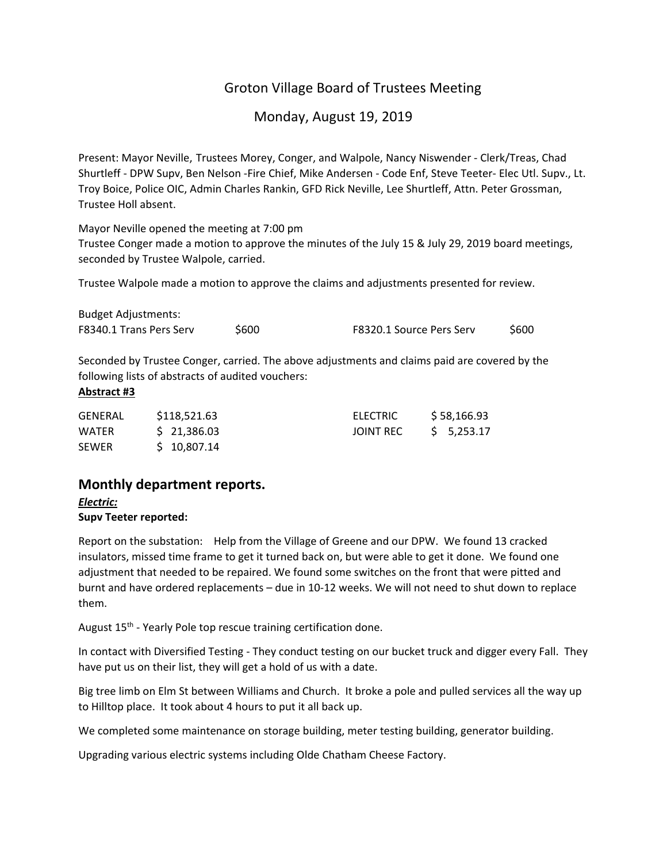# Groton Village Board of Trustees Meeting

Monday, August 19, 2019

Present: Mayor Neville, Trustees Morey, Conger, and Walpole, Nancy Niswender ‐ Clerk/Treas, Chad Shurtleff ‐ DPW Supv, Ben Nelson ‐Fire Chief, Mike Andersen ‐ Code Enf, Steve Teeter‐ Elec Utl. Supv., Lt. Troy Boice, Police OIC, Admin Charles Rankin, GFD Rick Neville, Lee Shurtleff, Attn. Peter Grossman, Trustee Holl absent.

Mayor Neville opened the meeting at 7:00 pm

Trustee Conger made a motion to approve the minutes of the July 15 & July 29, 2019 board meetings, seconded by Trustee Walpole, carried.

Trustee Walpole made a motion to approve the claims and adjustments presented for review.

| <b>Budget Adjustments:</b>     |       |                          |      |
|--------------------------------|-------|--------------------------|------|
| <b>F8340.1 Trans Pers Serv</b> | \$600 | F8320.1 Source Pers Serv | S600 |

Seconded by Trustee Conger, carried. The above adjustments and claims paid are covered by the following lists of abstracts of audited vouchers:

## **Abstract #3**

| <b>GENERAL</b> | \$118,521.63 | ELECTRIC  | \$58,166.93 |  |
|----------------|--------------|-----------|-------------|--|
| <b>WATER</b>   | \$21,386.03  | JOINT REC | \$ 5,253.17 |  |
| <b>SEWER</b>   | \$10,807.14  |           |             |  |

# **Monthly department reports.**

# *Electric:*

# **Supv Teeter reported:**

Report on the substation: Help from the Village of Greene and our DPW. We found 13 cracked insulators, missed time frame to get it turned back on, but were able to get it done. We found one adjustment that needed to be repaired. We found some switches on the front that were pitted and burnt and have ordered replacements – due in 10‐12 weeks. We will not need to shut down to replace them.

August 15<sup>th</sup> - Yearly Pole top rescue training certification done.

In contact with Diversified Testing ‐ They conduct testing on our bucket truck and digger every Fall. They have put us on their list, they will get a hold of us with a date.

Big tree limb on Elm St between Williams and Church. It broke a pole and pulled services all the way up to Hilltop place. It took about 4 hours to put it all back up.

We completed some maintenance on storage building, meter testing building, generator building.

Upgrading various electric systems including Olde Chatham Cheese Factory.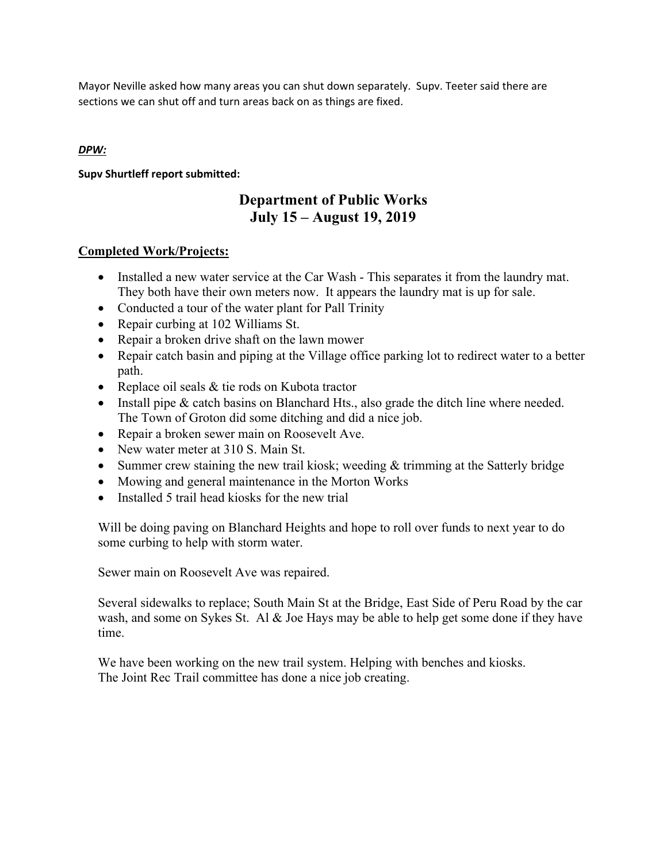Mayor Neville asked how many areas you can shut down separately. Supv. Teeter said there are sections we can shut off and turn areas back on as things are fixed.

# *DPW:*

# **Supv Shurtleff report submitted:**

# **Department of Public Works July 15 – August 19, 2019**

# **Completed Work/Projects:**

- Installed a new water service at the Car Wash This separates it from the laundry mat. They both have their own meters now. It appears the laundry mat is up for sale.
- Conducted a tour of the water plant for Pall Trinity
- Repair curbing at 102 Williams St.
- Repair a broken drive shaft on the lawn mower
- Repair catch basin and piping at the Village office parking lot to redirect water to a better path.
- Replace oil seals & tie rods on Kubota tractor
- Install pipe  $&$  catch basins on Blanchard Hts., also grade the ditch line where needed. The Town of Groton did some ditching and did a nice job.
- Repair a broken sewer main on Roosevelt Ave.
- New water meter at 310 S. Main St.
- Summer crew staining the new trail kiosk; weeding  $&$  trimming at the Satterly bridge
- Mowing and general maintenance in the Morton Works
- Installed 5 trail head kiosks for the new trial

Will be doing paving on Blanchard Heights and hope to roll over funds to next year to do some curbing to help with storm water.

Sewer main on Roosevelt Ave was repaired.

Several sidewalks to replace; South Main St at the Bridge, East Side of Peru Road by the car wash, and some on Sykes St. Al & Joe Hays may be able to help get some done if they have time.

We have been working on the new trail system. Helping with benches and kiosks. The Joint Rec Trail committee has done a nice job creating.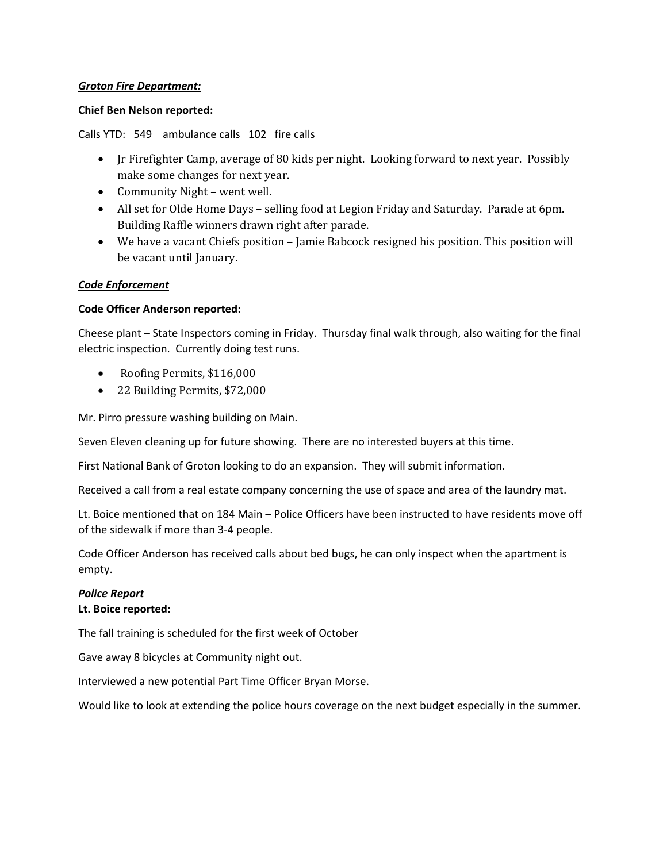# *Groton Fire Department:*

# **Chief Ben Nelson reported:**

Calls YTD: 549 ambulance calls 102 fire calls

- Jr Firefighter Camp, average of 80 kids per night. Looking forward to next year. Possibly make some changes for next year.
- Community Night went well.
- All set for Olde Home Days selling food at Legion Friday and Saturday. Parade at 6pm. Building Raffle winners drawn right after parade.
- We have a vacant Chiefs position Jamie Babcock resigned his position. This position will be vacant until January.

# *Code Enforcement*

## **Code Officer Anderson reported:**

Cheese plant – State Inspectors coming in Friday. Thursday final walk through, also waiting for the final electric inspection. Currently doing test runs.

- Roofing Permits, \$116,000
- 22 Building Permits, \$72,000

Mr. Pirro pressure washing building on Main.

Seven Eleven cleaning up for future showing. There are no interested buyers at this time.

First National Bank of Groton looking to do an expansion. They will submit information.

Received a call from a real estate company concerning the use of space and area of the laundry mat.

Lt. Boice mentioned that on 184 Main – Police Officers have been instructed to have residents move off of the sidewalk if more than 3‐4 people.

Code Officer Anderson has received calls about bed bugs, he can only inspect when the apartment is empty.

# *Police Report*

#### **Lt. Boice reported:**

The fall training is scheduled for the first week of October

Gave away 8 bicycles at Community night out.

Interviewed a new potential Part Time Officer Bryan Morse.

Would like to look at extending the police hours coverage on the next budget especially in the summer.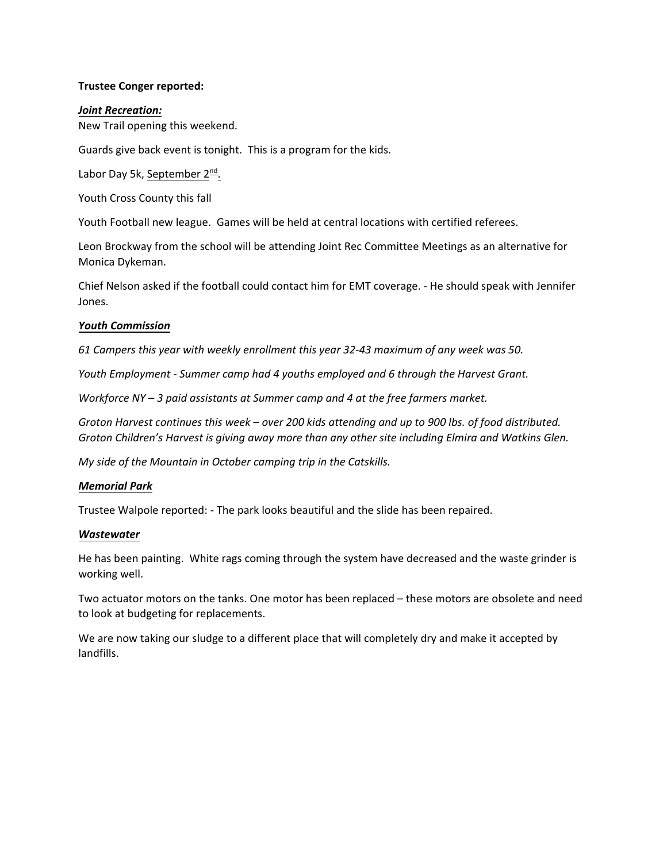# **Trustee Conger reported:**

## *Joint Recreation:*

New Trail opening this weekend.

Guards give back event is tonight. This is a program for the kids.

Labor Day 5k, September 2<sup>nd</sup>.

Youth Cross County this fall

Youth Football new league. Games will be held at central locations with certified referees.

Leon Brockway from the school will be attending Joint Rec Committee Meetings as an alternative for Monica Dykeman.

Chief Nelson asked if the football could contact him for EMT coverage. ‐ He should speak with Jennifer Jones.

## *Youth Commission*

*61 Campers this year with weekly enrollment this year 32‐43 maximum of any week was 50.*

*Youth Employment ‐ Summer camp had 4 youths employed and 6 through the Harvest Grant.*

*Workforce NY – 3 paid assistants at Summer camp and 4 at the free farmers market.*

Groton Harvest continues this week - over 200 kids attending and up to 900 lbs. of food distributed. *Groton Children's Harvest is giving away more than any other site including Elmira and Watkins Glen.*

*My side of the Mountain in October camping trip in the Catskills.*

#### *Memorial Park*

Trustee Walpole reported: ‐ The park looks beautiful and the slide has been repaired.

#### *Wastewater*

He has been painting. White rags coming through the system have decreased and the waste grinder is working well.

Two actuator motors on the tanks. One motor has been replaced – these motors are obsolete and need to look at budgeting for replacements.

We are now taking our sludge to a different place that will completely dry and make it accepted by landfills.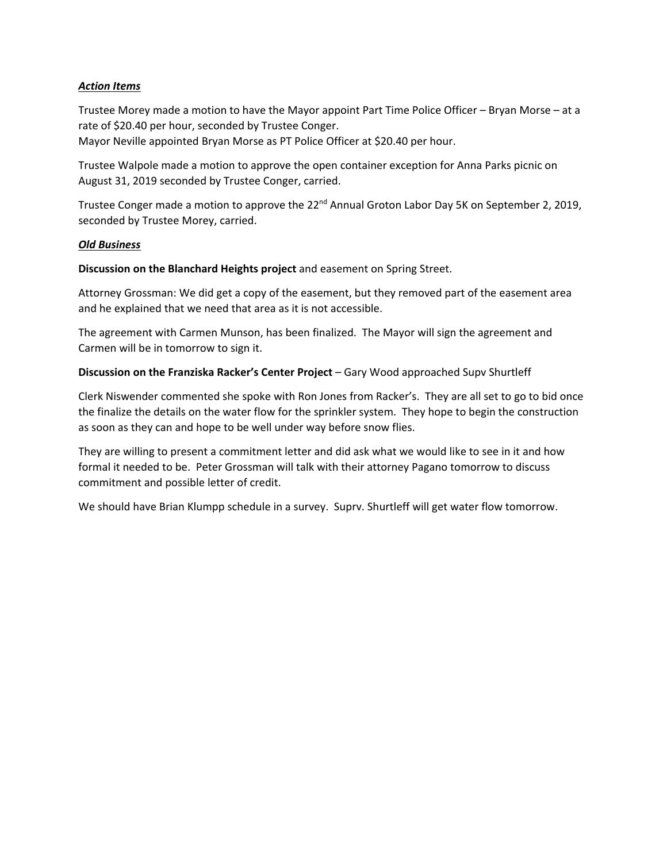# *Action Items*

Trustee Morey made a motion to have the Mayor appoint Part Time Police Officer – Bryan Morse – at a rate of \$20.40 per hour, seconded by Trustee Conger.

Mayor Neville appointed Bryan Morse as PT Police Officer at \$20.40 per hour.

Trustee Walpole made a motion to approve the open container exception for Anna Parks picnic on August 31, 2019 seconded by Trustee Conger, carried.

Trustee Conger made a motion to approve the 22<sup>nd</sup> Annual Groton Labor Day 5K on September 2, 2019, seconded by Trustee Morey, carried.

#### *Old Business*

**Discussion on the Blanchard Heights project** and easement on Spring Street.

Attorney Grossman: We did get a copy of the easement, but they removed part of the easement area and he explained that we need that area as it is not accessible.

The agreement with Carmen Munson, has been finalized. The Mayor will sign the agreement and Carmen will be in tomorrow to sign it.

## **Discussion on the Franziska Racker's Center Project** – Gary Wood approached Supv Shurtleff

Clerk Niswender commented she spoke with Ron Jones from Racker's. They are all set to go to bid once the finalize the details on the water flow for the sprinkler system. They hope to begin the construction as soon as they can and hope to be well under way before snow flies.

They are willing to present a commitment letter and did ask what we would like to see in it and how formal it needed to be. Peter Grossman will talk with their attorney Pagano tomorrow to discuss commitment and possible letter of credit.

We should have Brian Klumpp schedule in a survey. Suprv. Shurtleff will get water flow tomorrow.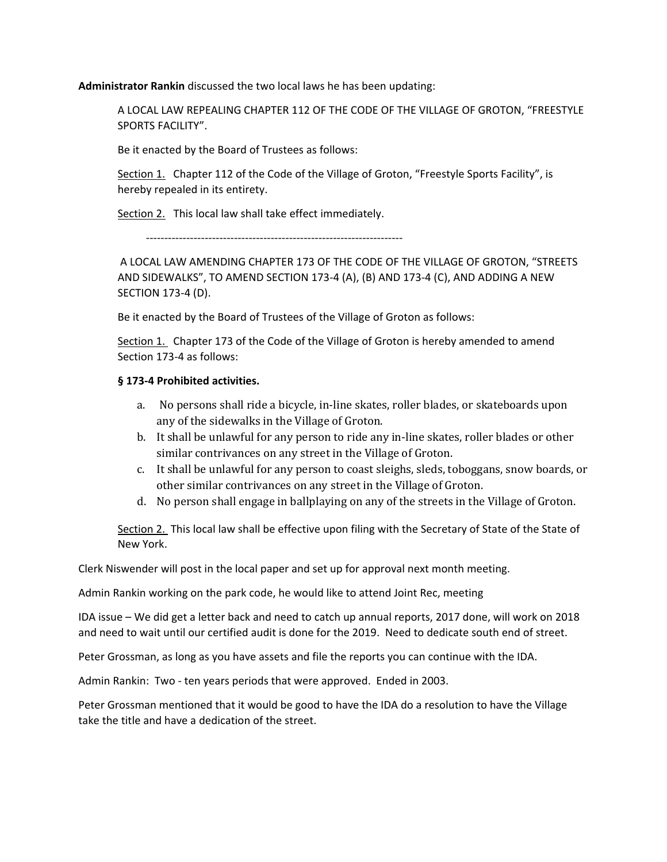**Administrator Rankin** discussed the two local laws he has been updating:

A LOCAL LAW REPEALING CHAPTER 112 OF THE CODE OF THE VILLAGE OF GROTON, "FREESTYLE SPORTS FACILITY".

Be it enacted by the Board of Trustees as follows:

Section 1. Chapter 112 of the Code of the Village of Groton, "Freestyle Sports Facility", is hereby repealed in its entirety.

Section 2. This local law shall take effect immediately.

‐‐‐‐‐‐‐‐‐‐‐‐‐‐‐‐‐‐‐‐‐‐‐‐‐‐‐‐‐‐‐‐‐‐‐‐‐‐‐‐‐‐‐‐‐‐‐‐‐‐‐‐‐‐‐‐‐‐‐‐‐‐‐‐‐‐‐‐‐‐

A LOCAL LAW AMENDING CHAPTER 173 OF THE CODE OF THE VILLAGE OF GROTON, "STREETS AND SIDEWALKS", TO AMEND SECTION 173‐4 (A), (B) AND 173‐4 (C), AND ADDING A NEW SECTION 173‐4 (D).

Be it enacted by the Board of Trustees of the Village of Groton as follows:

Section 1. Chapter 173 of the Code of the Village of Groton is hereby amended to amend Section 173‐4 as follows:

# **§ 173‐4 Prohibited activities.**

- a. No persons shall ride a bicycle, in‐line skates, roller blades, or skateboards upon any of the sidewalks in the Village of Groton.
- b. It shall be unlawful for any person to ride any in‐line skates, roller blades or other similar contrivances on any street in the Village of Groton.
- c. It shall be unlawful for any person to coast sleighs, sleds, toboggans, snow boards, or other similar contrivances on any street in the Village of Groton.
- d. No person shall engage in ballplaying on any of the streets in the Village of Groton.

Section 2. This local law shall be effective upon filing with the Secretary of State of the State of New York.

Clerk Niswender will post in the local paper and set up for approval next month meeting.

Admin Rankin working on the park code, he would like to attend Joint Rec, meeting

IDA issue – We did get a letter back and need to catch up annual reports, 2017 done, will work on 2018 and need to wait until our certified audit is done for the 2019. Need to dedicate south end of street.

Peter Grossman, as long as you have assets and file the reports you can continue with the IDA.

Admin Rankin: Two ‐ ten years periods that were approved. Ended in 2003.

Peter Grossman mentioned that it would be good to have the IDA do a resolution to have the Village take the title and have a dedication of the street.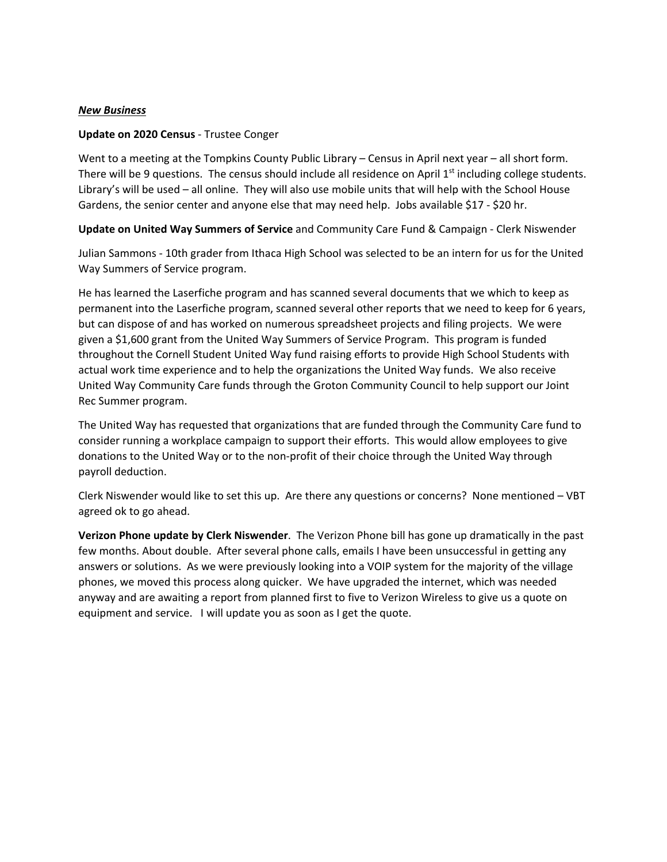#### *New Business*

## **Update on 2020 Census** ‐ Trustee Conger

Went to a meeting at the Tompkins County Public Library – Census in April next year – all short form. There will be 9 questions. The census should include all residence on April 1<sup>st</sup> including college students. Library's will be used – all online. They will also use mobile units that will help with the School House Gardens, the senior center and anyone else that may need help. Jobs available \$17 ‐ \$20 hr.

**Update on United Way Summers of Service** and Community Care Fund & Campaign ‐ Clerk Niswender

Julian Sammons ‐ 10th grader from Ithaca High School was selected to be an intern for us for the United Way Summers of Service program.

He has learned the Laserfiche program and has scanned several documents that we which to keep as permanent into the Laserfiche program, scanned several other reports that we need to keep for 6 years, but can dispose of and has worked on numerous spreadsheet projects and filing projects. We were given a \$1,600 grant from the United Way Summers of Service Program. This program is funded throughout the Cornell Student United Way fund raising efforts to provide High School Students with actual work time experience and to help the organizations the United Way funds. We also receive United Way Community Care funds through the Groton Community Council to help support our Joint Rec Summer program.

The United Way has requested that organizations that are funded through the Community Care fund to consider running a workplace campaign to support their efforts. This would allow employees to give donations to the United Way or to the non‐profit of their choice through the United Way through payroll deduction.

Clerk Niswender would like to set this up. Are there any questions or concerns? None mentioned – VBT agreed ok to go ahead.

**Verizon Phone update by Clerk Niswender**. The Verizon Phone bill has gone up dramatically in the past few months. About double. After several phone calls, emails I have been unsuccessful in getting any answers or solutions. As we were previously looking into a VOIP system for the majority of the village phones, we moved this process along quicker. We have upgraded the internet, which was needed anyway and are awaiting a report from planned first to five to Verizon Wireless to give us a quote on equipment and service. I will update you as soon as I get the quote.